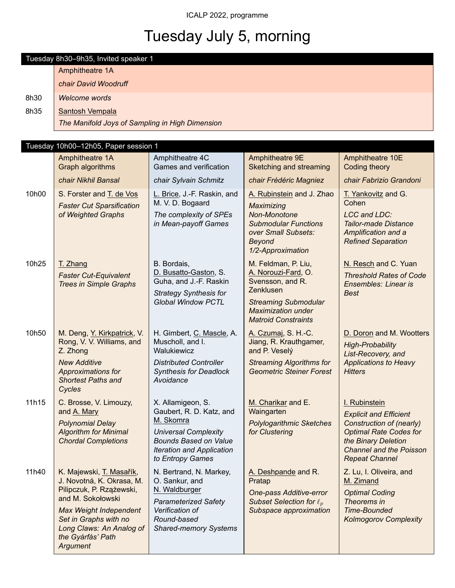# Tuesday July 5, morning

Tuesday 8h30–9h35, Invited speaker 1 Amphitheatre 1A

|       | chair David Woodruff                                                                                                                                                                                                          |                                                                                                                                                                                   |                                                                                                                                                                       |                                                                                                                                                                                               |  |  |
|-------|-------------------------------------------------------------------------------------------------------------------------------------------------------------------------------------------------------------------------------|-----------------------------------------------------------------------------------------------------------------------------------------------------------------------------------|-----------------------------------------------------------------------------------------------------------------------------------------------------------------------|-----------------------------------------------------------------------------------------------------------------------------------------------------------------------------------------------|--|--|
| 8h30  | <b>Welcome words</b>                                                                                                                                                                                                          |                                                                                                                                                                                   |                                                                                                                                                                       |                                                                                                                                                                                               |  |  |
| 8h35  | Santosh Vempala                                                                                                                                                                                                               |                                                                                                                                                                                   |                                                                                                                                                                       |                                                                                                                                                                                               |  |  |
|       | The Manifold Joys of Sampling in High Dimension                                                                                                                                                                               |                                                                                                                                                                                   |                                                                                                                                                                       |                                                                                                                                                                                               |  |  |
|       |                                                                                                                                                                                                                               |                                                                                                                                                                                   |                                                                                                                                                                       |                                                                                                                                                                                               |  |  |
|       | Tuesday 10h00-12h05, Paper session 1                                                                                                                                                                                          |                                                                                                                                                                                   |                                                                                                                                                                       |                                                                                                                                                                                               |  |  |
|       | Amphitheatre 1A<br>Graph algorithms                                                                                                                                                                                           | Amphitheatre 4C<br>Games and verification                                                                                                                                         | Amphitheatre 9E<br>Sketching and streaming                                                                                                                            | Amphitheatre 10E<br>Coding theory                                                                                                                                                             |  |  |
|       | chair Nikhil Bansal                                                                                                                                                                                                           | chair Sylvain Schmitz                                                                                                                                                             | chair Frédéric Magniez                                                                                                                                                | chair Fabrizio Grandoni                                                                                                                                                                       |  |  |
| 10h00 | S. Forster and T. de Vos<br><b>Faster Cut Sparsification</b><br>of Weighted Graphs                                                                                                                                            | L. Brice, J.-F. Raskin, and<br>M. V. D. Bogaard<br>The complexity of SPEs<br>in Mean-payoff Games                                                                                 | A. Rubinstein and J. Zhao<br>Maximizing<br>Non-Monotone<br><b>Submodular Functions</b><br>over Small Subsets:<br><b>Beyond</b><br>1/2-Approximation                   | T. Yankovitz and G.<br>Cohen<br><b>LCC and LDC:</b><br><b>Tailor-made Distance</b><br>Amplification and a<br><b>Refined Separation</b>                                                        |  |  |
| 10h25 | T. Zhang<br><b>Faster Cut-Equivalent</b><br><b>Trees in Simple Graphs</b>                                                                                                                                                     | B. Bordais,<br>D. Busatto-Gaston, S.<br>Guha, and J.-F. Raskin<br><b>Strategy Synthesis for</b><br><b>Global Window PCTL</b>                                                      | M. Feldman, P. Liu,<br>A. Norouzi-Fard, O.<br>Svensson, and R.<br>Zenklusen<br><b>Streaming Submodular</b><br><b>Maximization under</b><br><b>Matroid Constraints</b> | N. Resch and C. Yuan<br><b>Threshold Rates of Code</b><br>Ensembles: Linear is<br><b>Best</b>                                                                                                 |  |  |
| 10h50 | M. Deng, Y. Kirkpatrick, V.<br>Rong, V. V. Williams, and<br>Z. Zhong<br><b>New Additive</b><br>Approximations for<br><b>Shortest Paths and</b><br>Cycles                                                                      | H. Gimbert, C. Mascle, A.<br>Muscholl, and I.<br>Walukiewicz<br><b>Distributed Controller</b><br><b>Synthesis for Deadlock</b><br>Avoidance                                       | A. Czumaj, S. H.-C.<br>Jiang, R. Krauthgamer,<br>and P. Veselý<br><b>Streaming Algorithms for</b><br><b>Geometric Steiner Forest</b>                                  | D. Doron and M. Wootters<br><b>High-Probability</b><br>List-Recovery, and<br><b>Applications to Heavy</b><br><b>Hitters</b>                                                                   |  |  |
| 11h15 | C. Brosse, V. Limouzy,<br>and A. Mary<br><b>Polynomial Delay</b><br><b>Algorithm for Minimal</b><br><b>Chordal Completions</b>                                                                                                | X. Allamigeon, S.<br>Gaubert, R. D. Katz, and<br>M. Skomra<br><b>Universal Complexity</b><br><b>Bounds Based on Value</b><br><b>Iteration and Application</b><br>to Entropy Games | M. Charikar and E.<br>Waingarten<br><b>Polylogarithmic Sketches</b><br>for Clustering                                                                                 | I. Rubinstein<br><b>Explicit and Efficient</b><br>Construction of (nearly)<br><b>Optimal Rate Codes for</b><br>the Binary Deletion<br><b>Channel and the Poisson</b><br><b>Repeat Channel</b> |  |  |
| 11h40 | K. Majewski, T. Masařík,<br>J. Novotná, K. Okrasa, M.<br>Pilipczuk, P. Rzążewski,<br>and M. Sokołowski<br><b>Max Weight Independent</b><br>Set in Graphs with no<br>Long Claws: An Analog of<br>the Gyárfás' Path<br>Argument | N. Bertrand, N. Markey,<br>O. Sankur, and<br>N. Waldburger<br><b>Parameterized Safety</b><br>Verification of<br>Round-based<br><b>Shared-memory Systems</b>                       | A. Deshpande and R.<br>Pratap<br>One-pass Additive-error<br>Subset Selection for $\ell_n$<br>Subspace approximation                                                   | Z. Lu, I. Oliveira, and<br>M. Zimand<br><b>Optimal Coding</b><br>Theorems in<br><b>Time-Bounded</b><br><b>Kolmogorov Complexity</b>                                                           |  |  |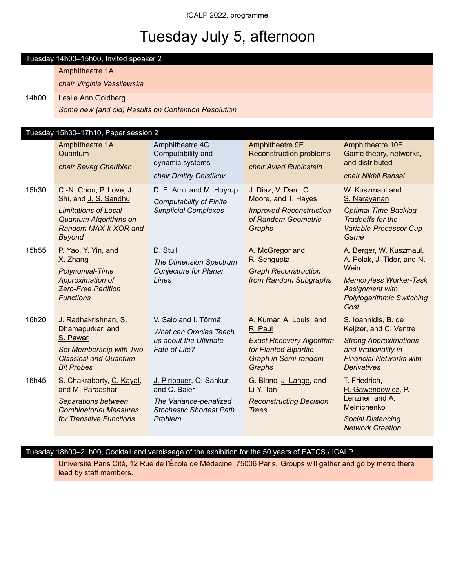# Tuesday July 5, afternoon

Tuesday 14h00–15h00, Invited speaker 2

|       | Amphitheatre 1A                                                                                                                      |                                                                                                                  |                                                                                                                                  |                                                                                                                                                               |  |  |  |
|-------|--------------------------------------------------------------------------------------------------------------------------------------|------------------------------------------------------------------------------------------------------------------|----------------------------------------------------------------------------------------------------------------------------------|---------------------------------------------------------------------------------------------------------------------------------------------------------------|--|--|--|
|       | chair Virginia Vassilewska                                                                                                           |                                                                                                                  |                                                                                                                                  |                                                                                                                                                               |  |  |  |
| 14h00 | <b>Leslie Ann Goldberg</b>                                                                                                           |                                                                                                                  |                                                                                                                                  |                                                                                                                                                               |  |  |  |
|       | Some new (and old) Results on Contention Resolution                                                                                  |                                                                                                                  |                                                                                                                                  |                                                                                                                                                               |  |  |  |
|       |                                                                                                                                      |                                                                                                                  |                                                                                                                                  |                                                                                                                                                               |  |  |  |
|       | Tuesday 15h30-17h10, Paper session 2                                                                                                 |                                                                                                                  |                                                                                                                                  |                                                                                                                                                               |  |  |  |
|       | Amphitheatre 1A<br>Quantum                                                                                                           | Amphitheatre 4C<br>Computability and<br>dynamic systems                                                          | Amphitheatre 9E<br><b>Reconstruction problems</b>                                                                                | Amphitheatre 10E<br>Game theory, networks,<br>and distributed                                                                                                 |  |  |  |
|       | chair Sevag Gharibian                                                                                                                | chair Dmitry Chistikov                                                                                           | chair Aviad Rubinstein                                                                                                           | chair Nikhil Bansal                                                                                                                                           |  |  |  |
| 15h30 | C.-N. Chou, P. Love, J.<br>Shi, and J. S. Sandhu                                                                                     | D. E. Amir and M. Hoyrup<br><b>Computability of Finite</b>                                                       | J. Diaz, V. Dani, C.<br>Moore, and T. Hayes                                                                                      | W. Kuszmaul and<br>S. Narayanan                                                                                                                               |  |  |  |
|       | <b>Limitations of Local</b><br><b>Quantum Algorithms on</b><br>Random MAX-k-XOR and<br><b>Beyond</b>                                 | <b>Simplicial Complexes</b>                                                                                      | <b>Improved Reconstruction</b><br>of Random Geometric<br>Graphs                                                                  | <b>Optimal Time-Backlog</b><br>Tradeoffs for the<br>Variable-Processor Cup<br>Game                                                                            |  |  |  |
| 15h55 | P. Yao, Y. Yin, and<br>X. Zhang<br>Polynomial-Time<br>Approximation of<br><b>Zero-Free Partition</b><br><b>Functions</b>             | D. Stull<br><b>The Dimension Spectrum</b><br>Conjecture for Planar<br>Lines                                      | A. McGregor and<br>R. Sengupta<br><b>Graph Reconstruction</b><br>from Random Subgraphs                                           | A. Berger, W. Kuszmaul,<br>A. Polak, J. Tidor, and N.<br>Wein<br><b>Memoryless Worker-Task</b><br>Assignment with<br><b>Polylogarithmic Switching</b><br>Cost |  |  |  |
| 16h20 | J. Radhakrishnan, S.<br>Dhamapurkar, and<br>S. Pawar<br>Set Membership with Two<br><b>Classical and Quantum</b><br><b>Bit Probes</b> | V. Salo and I. Törmä<br>What can Oracles Teach<br>us about the Ultimate<br>Fate of Life?                         | A. Kumar, A. Louis, and<br>R. Paul<br><b>Exact Recovery Algorithm</b><br>for Planted Bipartite<br>Graph in Semi-random<br>Graphs | S. Ioannidis, B. de<br>Keijzer, and C. Ventre<br><b>Strong Approximations</b><br>and Irrationality in<br><b>Financial Networks with</b><br><b>Derivatives</b> |  |  |  |
| 16h45 | S. Chakraborty, C. Kayal,<br>and M. Paraashar<br>Separations between<br><b>Combinatorial Measures</b><br>for Transitive Functions    | J. Piribauer, O. Sankur,<br>and C. Baier<br>The Variance-penalized<br><b>Stochastic Shortest Path</b><br>Problem | G. Blanc, J. Lange, and<br>Li-Y. Tan<br><b>Reconstructing Decision</b><br><b>Trees</b>                                           | T. Friedrich,<br>H. Gawendowicz, P.<br>Lenzner, and A.<br>Melnichenko<br><b>Social Distancing</b><br><b>Network Creation</b>                                  |  |  |  |

### Tuesday 18h00–21h00, Cocktail and vernissage of the exhibition for the 50 years of EATCS / ICALP

Université Paris Cité, 12 Rue de l'École de Médecine, 75006 Paris. Groups will gather and go by metro there lead by staff members.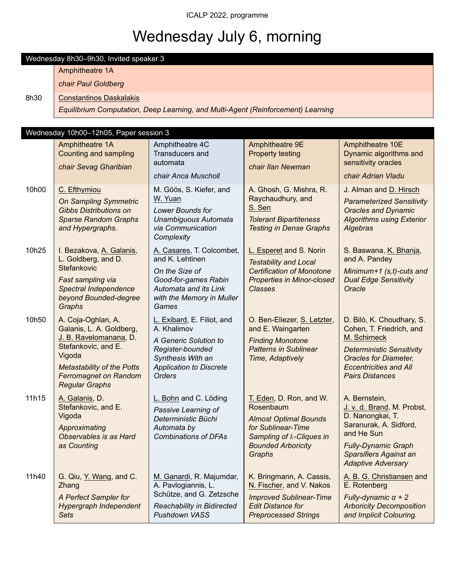# Wednesday July 6, morning

Wednesday 8h30–9h30, Invited speaker 3 Amphitheatre 1A

|       | chair Paul Goldberg                                                                                                                                                                                     |                                                                                                                                                                |                                                                                                                                                               |                                                                                                                                                                                                      |  |  |  |  |
|-------|---------------------------------------------------------------------------------------------------------------------------------------------------------------------------------------------------------|----------------------------------------------------------------------------------------------------------------------------------------------------------------|---------------------------------------------------------------------------------------------------------------------------------------------------------------|------------------------------------------------------------------------------------------------------------------------------------------------------------------------------------------------------|--|--|--|--|
| 8h30  | <b>Constantinos Daskalakis</b>                                                                                                                                                                          |                                                                                                                                                                |                                                                                                                                                               |                                                                                                                                                                                                      |  |  |  |  |
|       |                                                                                                                                                                                                         | Equilibrium Computation, Deep Learning, and Multi-Agent (Reinforcement) Learning                                                                               |                                                                                                                                                               |                                                                                                                                                                                                      |  |  |  |  |
|       |                                                                                                                                                                                                         |                                                                                                                                                                |                                                                                                                                                               |                                                                                                                                                                                                      |  |  |  |  |
|       | Wednesday 10h00-12h05, Paper session 3                                                                                                                                                                  |                                                                                                                                                                |                                                                                                                                                               |                                                                                                                                                                                                      |  |  |  |  |
|       | Amphitheatre 1A<br>Counting and sampling<br>chair Sevag Gharibian                                                                                                                                       | Amphitheatre 4C<br>Transducers and<br>automata<br>chair Anca Muscholl                                                                                          | Amphitheatre 9E<br><b>Property testing</b><br>chair Ilan Newman                                                                                               | Amphitheatre 10E<br>Dynamic algorithms and<br>sensitivity oracles<br>chair Adrian Vladu                                                                                                              |  |  |  |  |
| 10h00 | C. Efthymiou<br><b>On Sampling Symmetric</b><br><b>Gibbs Distributions on</b><br><b>Sparse Random Graphs</b><br>and Hypergraphs.                                                                        | M. Göös, S. Kiefer, and<br>W. Yuan<br>Lower Bounds for<br>Unambiguous Automata<br>via Communication<br>Complexity                                              | A. Ghosh, G. Mishra, R.<br>Raychaudhury, and<br>S. Sen<br><b>Tolerant Bipartiteness</b><br><b>Testing in Dense Graphs</b>                                     | J. Alman and D. Hirsch<br><b>Parameterized Sensitivity</b><br><b>Oracles and Dynamic</b><br><b>Algorithms using Exterior</b><br>Algebras                                                             |  |  |  |  |
| 10h25 | I. Bezakova, A. Galanis,<br>L. Goldberg, and D.<br>Stefankovic<br>Fast sampling via<br>Spectral Independence<br>beyond Bounded-degree<br>Graphs                                                         | A. Casares, T. Colcombet,<br>and K. Lehtinen<br>On the Size of<br>Good-for-games Rabin<br>Automata and its Link<br>with the Memory in Muller<br>Games          | L. Esperet and S. Norin<br><b>Testability and Local</b><br><b>Certification of Monotone</b><br><b>Properties in Minor-closed</b><br><b>Classes</b>            | S. Baswana, K. Bhanja,<br>and A. Pandey<br>Minimum+1 $(s,t)$ -cuts and<br><b>Dual Edge Sensitivity</b><br>Oracle                                                                                     |  |  |  |  |
| 10h50 | A. Coja-Oghlan, A.<br>Galanis, L. A. Goldberg,<br>J. B. Ravelomanana, D.<br>Stefankovic, and E.<br>Vigoda<br><b>Metastability of the Potts</b><br><b>Ferromagnet on Random</b><br><b>Regular Graphs</b> | L. Exibard, E. Filiot, and<br>A. Khalimov<br>A Generic Solution to<br>Register-bounded<br>Synthesis With an<br><b>Application to Discrete</b><br><b>Orders</b> | O. Ben-Eliezer, S. Letzter,<br>and E. Waingarten<br><b>Finding Monotone</b><br><b>Patterns in Sublinear</b><br>Time, Adaptively                               | D. Bilò, K. Choudhary, S.<br>Cohen, T. Friedrich, and<br>M. Schirneck<br><b>Deterministic Sensitivity</b><br><b>Oracles for Diameter,</b><br><b>Eccentricities and All</b><br><b>Pairs Distances</b> |  |  |  |  |
| 11h15 | A. Galanis, D.<br>Stefankovic, and E.<br>Vigoda<br>Approximating<br>Observables is as Hard<br>as Counting                                                                                               | L. Bohn and C. Löding<br>Passive Learning of<br>Deterministic Büchi<br>Automata by<br><b>Combinations of DFAs</b>                                              | T. Eden, D. Ron, and W.<br>Rosenbaum<br><b>Almost Optimal Bounds</b><br>for Sublinear-Time<br>Sampling of k-Cliques in<br><b>Bounded Arboricity</b><br>Graphs | A. Bernstein,<br>J. v. d. Brand, M. Probst,<br>D. Nanongkai, T.<br>Saranurak, A. Sidford,<br>and He Sun<br><b>Fully-Dynamic Graph</b><br>Sparsifiers Against an<br><b>Adaptive Adversary</b>         |  |  |  |  |
| 11h40 | G. Qiu, Y. Wang, and C.<br>Zhang<br>A Perfect Sampler for<br>Hypergraph Independent<br><b>Sets</b>                                                                                                      | M. Ganardi, R. Majumdar,<br>A. Pavlogiannis, L.<br>Schütze, and G. Zetzsche<br>Reachability in Bidirected<br>Pushdown VASS                                     | K. Bringmann, A. Cassis,<br>N. Fischer, and V. Nakos<br><b>Improved Sublinear-Time</b><br><b>Edit Distance for</b><br><b>Preprocessed Strings</b>             | A. B. G. Christiansen and<br>E. Rotenberg<br>Fully-dynamic $\alpha$ + 2<br><b>Arboricity Decomposition</b><br>and Implicit Colouring.                                                                |  |  |  |  |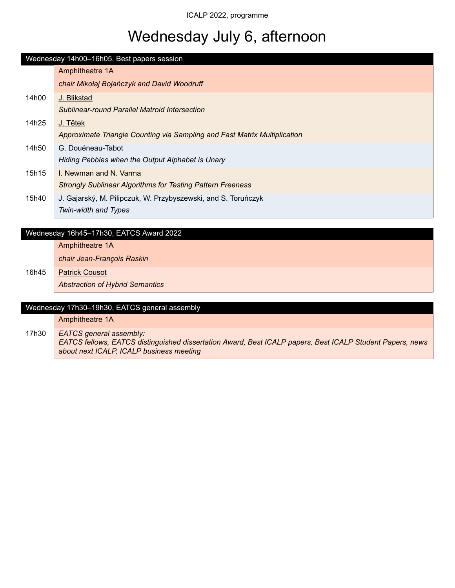# Wednesday July 6, afternoon

|       | Wednesday 14h00-16h05, Best papers session                                |  |  |  |  |
|-------|---------------------------------------------------------------------------|--|--|--|--|
|       | Amphitheatre 1A                                                           |  |  |  |  |
|       | chair Mikołaj Bojańczyk and David Woodruff                                |  |  |  |  |
| 14h00 | J. Blikstad                                                               |  |  |  |  |
|       | Sublinear-round Parallel Matroid Intersection                             |  |  |  |  |
| 14h25 | J. Tětek                                                                  |  |  |  |  |
|       | Approximate Triangle Counting via Sampling and Fast Matrix Multiplication |  |  |  |  |
| 14h50 | G. Douéneau-Tabot                                                         |  |  |  |  |
|       | Hiding Pebbles when the Output Alphabet is Unary                          |  |  |  |  |
| 15h15 | I. Newman and N. Varma                                                    |  |  |  |  |
|       | <b>Strongly Sublinear Algorithms for Testing Pattern Freeness</b>         |  |  |  |  |
| 15h40 | J. Gajarský, M. Pilipczuk, W. Przybyszewski, and S. Toruńczyk             |  |  |  |  |
|       | Twin-width and Types                                                      |  |  |  |  |

### Wednesday 16h45–17h30, EATCS Award 2022

Amphitheatre 1A

*chair Jean-François Raskin*

16h45 **Patrick Cousot** *Abstraction of Hybrid Semantics*

|       | Wednesday 17h30-19h30, EATCS general assembly                                                                                                                                           |  |  |  |
|-------|-----------------------------------------------------------------------------------------------------------------------------------------------------------------------------------------|--|--|--|
|       | Amphitheatre 1A                                                                                                                                                                         |  |  |  |
| 17h30 | <b>EATCS</b> general assembly:<br>EATCS fellows, EATCS distinguished dissertation Award, Best ICALP papers, Best ICALP Student Papers, news<br>about next ICALP, ICALP business meeting |  |  |  |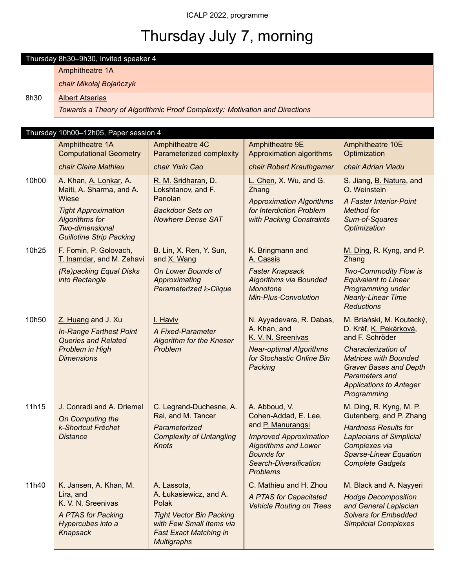# Thursday July 7, morning

### Thursday 8h30–9h30, Invited speaker 4

Amphitheatre 1A

*chair Mikołaj Bojańczyk*

### 8h30 | Albert Atserias

*Towards a Theory of Algorithmic Proof Complexity: Motivation and Directions*

### Thursday 10h00–12h05, Paper session 4

|       | $0.100$ $1.00$ , $1$<br>Amphitheatre 1A<br><b>Computational Geometry</b><br>chair Claire Mathieu                                                                  | Amphitheatre 4C<br>Parameterized complexity<br>chair Yixin Cao                                                                                                       | Amphitheatre 9E<br>Approximation algorithms<br>chair Robert Krauthgamer                                                                                                                      | Amphitheatre 10E<br>Optimization<br>chair Adrian Vladu                                                                                                                                                                                   |
|-------|-------------------------------------------------------------------------------------------------------------------------------------------------------------------|----------------------------------------------------------------------------------------------------------------------------------------------------------------------|----------------------------------------------------------------------------------------------------------------------------------------------------------------------------------------------|------------------------------------------------------------------------------------------------------------------------------------------------------------------------------------------------------------------------------------------|
| 10h00 | A. Khan, A. Lonkar, A.<br>Maiti, A. Sharma, and A.<br>Wiese<br><b>Tight Approximation</b><br>Algorithms for<br>Two-dimensional<br><b>Guillotine Strip Packing</b> | R. M. Sridharan, D.<br>Lokshtanov, and F.<br>Panolan<br><b>Backdoor Sets on</b><br><b>Nowhere Dense SAT</b>                                                          | L. Chen, X. Wu, and G.<br>Zhang<br><b>Approximation Algorithms</b><br>for Interdiction Problem<br>with Packing Constraints                                                                   | S. Jiang, B. Natura, and<br>O. Weinstein<br>A Faster Interior-Point<br><b>Method for</b><br>Sum-of-Squares<br>Optimization                                                                                                               |
| 10h25 | F. Fomin, P. Golovach,<br>T. Inamdar, and M. Zehavi<br>(Re)packing Equal Disks<br>into Rectangle                                                                  | B. Lin, X. Ren, Y. Sun,<br>and X. Wang<br>On Lower Bounds of<br>Approximating<br><b>Parameterized k-Clique</b>                                                       | K. Bringmann and<br>A. Cassis<br><b>Faster Knapsack</b><br><b>Algorithms via Bounded</b><br>Monotone<br><b>Min-Plus-Convolution</b>                                                          | M. Ding, R. Kyng, and P.<br>Zhang<br>Two-Commodity Flow is<br><b>Equivalent to Linear</b><br>Programming under<br><b>Nearly-Linear Time</b><br><b>Reductions</b>                                                                         |
| 10h50 | Z. Huang and J. Xu<br><b>In-Range Farthest Point</b><br><b>Queries and Related</b><br>Problem in High<br><b>Dimensions</b>                                        | I. Haviv<br>A Fixed-Parameter<br><b>Algorithm for the Kneser</b><br>Problem                                                                                          | N. Ayyadevara, R. Dabas,<br>A. Khan, and<br>K. V. N. Sreenivas<br><b>Near-optimal Algorithms</b><br>for Stochastic Online Bin<br>Packing                                                     | M. Briański, M. Koutecký,<br>D. Kráľ, K. Pekárková,<br>and F. Schröder<br>Characterization of<br><b>Matrices with Bounded</b><br><b>Graver Bases and Depth</b><br><b>Parameters and</b><br><b>Applications to Anteger</b><br>Programming |
| 11h15 | J. Conradi and A. Driemel<br>On Computing the<br>k-Shortcut Fréchet<br><b>Distance</b>                                                                            | C. Legrand-Duchesne, A.<br>Rai, and M. Tancer<br>Parameterized<br><b>Complexity of Untangling</b><br><b>Knots</b>                                                    | A. Abboud, V.<br>Cohen-Addad, E. Lee,<br>and P. Manurangsi<br><b>Improved Approximation</b><br><b>Algorithms and Lower</b><br><b>Bounds for</b><br>Search-Diversification<br><b>Problems</b> | M. Ding, R. Kyng, M. P.<br>Gutenberg, and P. Zhang<br><b>Hardness Results for</b><br><b>Laplacians of Simplicial</b><br>Complexes via<br><b>Sparse-Linear Equation</b><br><b>Complete Gadgets</b>                                        |
| 11h40 | K. Jansen, A. Khan, M.<br>Lira, and<br>K. V. N. Sreenivas<br>A PTAS for Packing<br>Hypercubes into a<br>Knapsack                                                  | A. Lassota,<br>A. Łukasiewicz, and A.<br>Polak<br><b>Tight Vector Bin Packing</b><br>with Few Small Items via<br><b>Fast Exact Matching in</b><br><b>Multigraphs</b> | C. Mathieu and H. Zhou<br>A PTAS for Capacitated<br><b>Vehicle Routing on Trees</b>                                                                                                          | M. Black and A. Nayyeri<br><b>Hodge Decomposition</b><br>and General Laplacian<br><b>Solvers for Embedded</b><br><b>Simplicial Complexes</b>                                                                                             |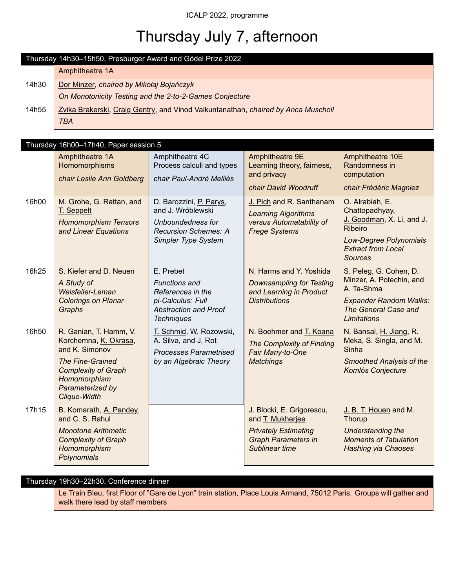# Thursday July 7, afternoon

|       | Thursday 14h30-15h50, Presburger Award and Gödel Prize 2022                       |  |  |  |  |
|-------|-----------------------------------------------------------------------------------|--|--|--|--|
|       | Amphitheatre 1A                                                                   |  |  |  |  |
| 14h30 | Dor Minzer, chaired by Mikołaj Bojańczyk                                          |  |  |  |  |
|       | On Monotonicity Testing and the 2-to-2-Games Conjecture                           |  |  |  |  |
| 14h55 | Zvika Brakerski, Craig Gentry, and Vinod Vaikuntanathan, chaired by Anca Muscholl |  |  |  |  |
|       | TBA                                                                               |  |  |  |  |

|       | Thursday 16h00-17h40, Paper session 5                                                                     |                                                                                                  |                                                                                                            |                                                                                 |  |
|-------|-----------------------------------------------------------------------------------------------------------|--------------------------------------------------------------------------------------------------|------------------------------------------------------------------------------------------------------------|---------------------------------------------------------------------------------|--|
|       | Amphitheatre 1A<br>Homomorphisms<br>chair Leslie Ann Goldberg                                             | Amphitheatre 4C<br>Process calculi and types<br>chair Paul-André Melliès                         | Amphitheatre 9E<br>Learning theory, fairness,<br>and privacy                                               | Amphitheatre 10E<br>Randomness in<br>computation                                |  |
|       |                                                                                                           |                                                                                                  | chair David Woodruff                                                                                       | chair Frédéric Magniez                                                          |  |
| 16h00 | M. Grohe, G. Rattan, and<br>T. Seppelt<br><b>Homomorphism Tensors</b><br>and Linear Equations             | D. Barozzini, P. Parys,<br>and J. Wróblewski<br>Unboundedness for<br><b>Recursion Schemes: A</b> | J. Pich and R. Santhanam<br><b>Learning Algorithms</b><br>versus Automatability of<br><b>Frege Systems</b> | O. Alrabiah, E.<br>Chattopadhyay,<br>J. Goodman, X. Li, and J.<br>Ribeiro       |  |
|       |                                                                                                           | Simpler Type System                                                                              |                                                                                                            | <b>Low-Degree Polynomials</b><br><b>Extract from Local</b><br><b>Sources</b>    |  |
| 16h25 | S. Kiefer and D. Neuen                                                                                    | E. Prebet                                                                                        | N. Harms and Y. Yoshida                                                                                    | S. Peleg, G. Cohen, D.                                                          |  |
|       | A Study of<br>Weisfeiler-Leman                                                                            | <b>Functions and</b><br>References in the                                                        | <b>Downsampling for Testing</b><br>and Learning in Product                                                 | Minzer, A. Potechin, and<br>A. Ta-Shma                                          |  |
|       | <b>Colorings on Planar</b><br>Graphs                                                                      | pi-Calculus: Full<br><b>Abstraction and Proof</b><br><b>Techniques</b>                           | <b>Distributions</b>                                                                                       | <b>Expander Random Walks:</b><br>The General Case and<br>Limitations            |  |
| 16h50 | R. Ganian, T. Hamm, V.<br>Korchemna, K. Okrasa,<br>and K. Simonov                                         | T. Schmid, W. Rozowski,<br>A. Silva, and J. Rot<br><b>Processes Parametrised</b>                 | N. Boehmer and T. Koana<br><b>The Complexity of Finding</b><br>Fair Many-to-One                            | N. Bansal, H. Jiang, R.<br>Meka, S. Singla, and M.<br>Sinha                     |  |
|       | <b>The Fine-Grained</b><br><b>Complexity of Graph</b><br>Homomorphism<br>Parameterized by<br>Clique-Width | by an Algebraic Theory                                                                           | <b>Matchings</b>                                                                                           | Smoothed Analysis of the<br>Komlós Conjecture                                   |  |
| 17h15 | B. Komarath, A. Pandey,<br>and C. S. Rahul                                                                |                                                                                                  | J. Blocki, E. Grigorescu,<br>and T. Mukherjee                                                              | J. B. T. Houen and M.<br>Thorup                                                 |  |
|       | <b>Monotone Arithmetic</b><br><b>Complexity of Graph</b><br>Homomorphism<br>Polynomials                   |                                                                                                  | <b>Privately Estimating</b><br><b>Graph Parameters in</b><br>Sublinear time                                | Understanding the<br><b>Moments of Tabulation</b><br><b>Hashing via Chaoses</b> |  |

### Thursday 19h30–22h30, Conference dinner

Le Train Bleu, first Floor of "Gare de Lyon" train station, Place Louis Armand, 75012 Paris. Groups will gather and walk there lead by staff members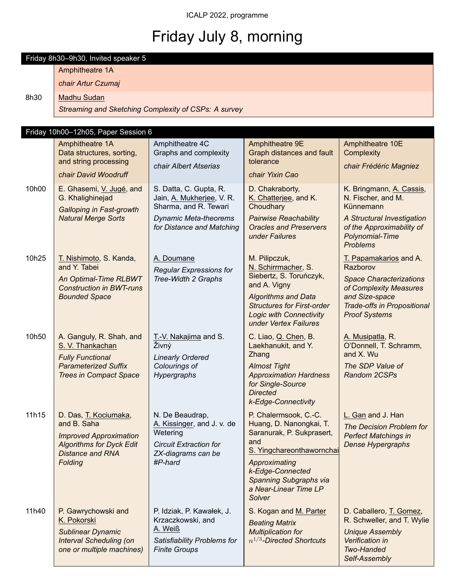# Friday July 8, morning

|       | Friday 8h30-9h30, Invited speaker 5                                             |                                                                              |                                                                                                                            |                                                                                               |  |  |  |  |
|-------|---------------------------------------------------------------------------------|------------------------------------------------------------------------------|----------------------------------------------------------------------------------------------------------------------------|-----------------------------------------------------------------------------------------------|--|--|--|--|
|       | Amphitheatre 1A                                                                 |                                                                              |                                                                                                                            |                                                                                               |  |  |  |  |
|       | chair Artur Czumaj                                                              |                                                                              |                                                                                                                            |                                                                                               |  |  |  |  |
| 8h30  | <b>Madhu Sudan</b>                                                              |                                                                              |                                                                                                                            |                                                                                               |  |  |  |  |
|       | Streaming and Sketching Complexity of CSPs: A survey                            |                                                                              |                                                                                                                            |                                                                                               |  |  |  |  |
|       |                                                                                 |                                                                              |                                                                                                                            |                                                                                               |  |  |  |  |
|       | Friday 10h00-12h05, Paper Session 6                                             |                                                                              |                                                                                                                            |                                                                                               |  |  |  |  |
|       | Amphitheatre 1A<br>Data structures, sorting,                                    | Amphitheatre 4C<br>Graphs and complexity                                     | Amphitheatre 9E<br>Graph distances and fault                                                                               | Amphitheatre 10E<br>Complexity                                                                |  |  |  |  |
|       | and string processing                                                           | chair Albert Atserias                                                        | tolerance                                                                                                                  | chair Frédéric Magniez                                                                        |  |  |  |  |
|       | chair David Woodruff                                                            |                                                                              | chair Yixin Cao                                                                                                            |                                                                                               |  |  |  |  |
| 10h00 | E. Ghasemi, V. Jugé, and<br>G. Khalighinejad<br><b>Galloping in Fast-growth</b> | S. Datta, C. Gupta, R.<br>Jain, A. Mukherjee, V. R.<br>Sharma, and R. Tewari | D. Chakraborty,<br>K. Chatterjee, and K.<br>Choudhary                                                                      | K. Bringmann, A. Cassis,<br>N. Fischer, and M.<br>Künnemann                                   |  |  |  |  |
|       | <b>Natural Merge Sorts</b>                                                      | <b>Dynamic Meta-theorems</b><br>for Distance and Matching                    | <b>Pairwise Reachability</b><br><b>Oracles and Preservers</b><br>under Failures                                            | A Structural Investigation<br>of the Approximability of<br>Polynomial-Time<br><b>Problems</b> |  |  |  |  |
| 10h25 | T. Nishimoto, S. Kanda,                                                         | A. Doumane                                                                   | M. Pilipczuk,                                                                                                              | T. Papamakarios and A.                                                                        |  |  |  |  |
|       | and Y. Tabei                                                                    | <b>Regular Expressions for</b><br>Tree-Width 2 Graphs                        | N. Schirrmacher, S.<br>Siebertz, S. Toruńczyk,                                                                             | Razborov<br><b>Space Characterizations</b>                                                    |  |  |  |  |
|       | An Optimal-Time RLBWT<br><b>Construction in BWT-runs</b>                        |                                                                              | and A. Vigny                                                                                                               | of Complexity Measures                                                                        |  |  |  |  |
|       | <b>Bounded Space</b>                                                            |                                                                              | <b>Algorithms and Data</b><br><b>Structures for First-order</b><br><b>Logic with Connectivity</b><br>under Vertex Failures | and Size-space<br><b>Trade-offs in Propositional</b><br><b>Proof Systems</b>                  |  |  |  |  |
| 10h50 | A. Ganguly, R. Shah, and<br>S. V. Thankachan                                    | T.-V. Nakajima and S.<br>Živný                                               | C. Liao, Q. Chen, B.<br>Laekhanukit, and Y.<br>Zhang                                                                       | A. Musipatla, R.<br>O'Donnell, T. Schramm,<br>and X. Wu                                       |  |  |  |  |
|       | <b>Fully Functional</b><br><b>Parameterized Suffix</b>                          | <b>Linearly Ordered</b><br>Colourings of                                     | <b>Almost Tight</b>                                                                                                        | The SDP Value of                                                                              |  |  |  |  |
|       | <b>Trees in Compact Space</b>                                                   | Hypergraphs                                                                  | <b>Approximation Hardness</b><br>for Single-Source<br><b>Directed</b>                                                      | <b>Random 2CSPs</b>                                                                           |  |  |  |  |
|       |                                                                                 |                                                                              | k-Edge-Connectivity                                                                                                        |                                                                                               |  |  |  |  |
| 11h15 | D. Das, T. Kociumaka,<br>and B. Saha                                            | N. De Beaudrap,<br>A. Kissinger, and J. v. de                                | P. Chalermsook, C.-C.<br>Huang, D. Nanongkai, T.                                                                           | L. Gan and J. Han                                                                             |  |  |  |  |
|       | <b>Improved Approximation</b>                                                   | Wetering                                                                     | Saranurak, P. Sukprasert,                                                                                                  | The Decision Problem for<br><b>Perfect Matchings in</b>                                       |  |  |  |  |
|       | <b>Algorithms for Dyck Edit</b><br><b>Distance and RNA</b>                      | <b>Circuit Extraction for</b>                                                | and<br>S. Yingchareonthawornchai                                                                                           | Dense Hypergraphs                                                                             |  |  |  |  |
|       | Folding                                                                         | ZX-diagrams can be<br>#P-hard                                                | Approximating                                                                                                              |                                                                                               |  |  |  |  |
|       |                                                                                 |                                                                              | k-Edge-Connected<br>Spanning Subgraphs via<br>a Near-Linear Time LP<br>Solver                                              |                                                                                               |  |  |  |  |
| 11h40 | P. Gawrychowski and                                                             | P. Idziak, P. Kawałek, J.                                                    | S. Kogan and M. Parter                                                                                                     | D. Caballero, T. Gomez,                                                                       |  |  |  |  |
|       | K. Pokorski<br>Sublinear Dynamic                                                | Krzaczkowski, and<br>A. Weiß                                                 | <b>Beating Matrix</b><br><b>Multiplication for</b>                                                                         | R. Schweller, and T. Wylie<br><b>Unique Assembly</b>                                          |  |  |  |  |
|       | <b>Interval Scheduling (on</b>                                                  | Satisfiability Problems for                                                  | $n^{1/3}$ -Directed Shortcuts                                                                                              | Verification in                                                                               |  |  |  |  |
|       | one or multiple machines)                                                       | <b>Finite Groups</b>                                                         |                                                                                                                            | <b>Two-Handed</b><br>Self-Assembly                                                            |  |  |  |  |